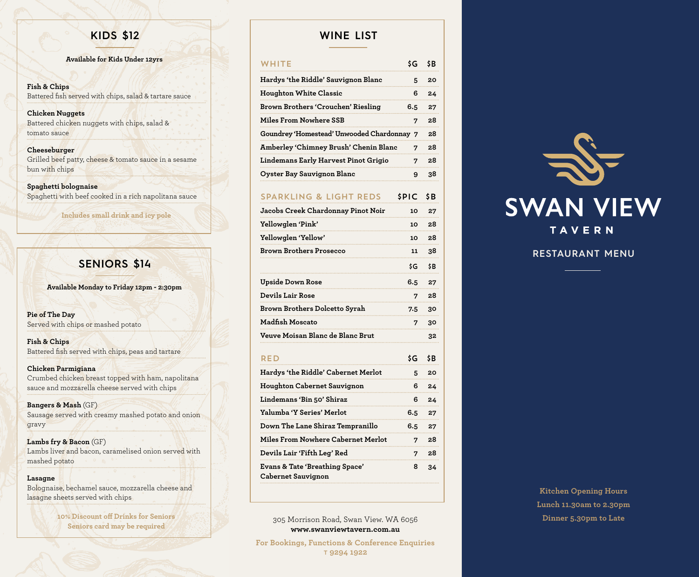**Available for Kids Under 12yrs**

#### **Fish & Chips** Battered fish served with chips, salad & tartare sauce

**Chicken Nuggets** Battered chicken nuggets with chips, salad & tomato sauce

#### **Cheeseburger**

Grilled beef patty, cheese & tomato sauce in a sesame bun with chips

**Spaghetti bolognaise** Spaghetti with beef cooked in a rich napolitana sauce

**Includes small drink and icy pole**

# **SENIORS \$14**

**Available Monday to Friday 12pm - 2:30pm**

**Pie of The Day** Served with chips or mashed potato

**Fish & Chips** Battered fish served with chips, peas and tartare

**Chicken Parmigiana** Crumbed chicken breast topped with ham, napolitana sauce and mozzarella cheese served with chips

**Bangers & Mash** (GF) Sausage served with creamy mashed potato and onion gravy

**Lambs fry & Bacon** (GF) Lambs liver and bacon, caramelised onion served with mashed potato

#### **Lasagne**

Bolognaise, bechamel sauce, mozzarella cheese and lasagne sheets served with chips

> **10% Discount off Drinks for Seniors Seniors card may be required**

# **KIDS \$12 WINE LIST**

| WHITE                                                | \$G         | \$B |
|------------------------------------------------------|-------------|-----|
| Hardys 'the Riddle' Sauvignon Blanc                  | 5           | 20  |
| <b>Houghton White Classic</b>                        | 6           | 24  |
| Brown Brothers 'Crouchen' Riesling                   | 6.5         | 27  |
| <b>Miles From Nowhere SSB</b>                        | 7           | 28  |
| Goundrey 'Homestead' Unwooded Chardonnay 7           |             | 28  |
| Amberley 'Chimney Brush' Chenin Blanc<br>7           |             | 28  |
| Lindemans Early Harvest Pinot Grigio                 | 7           | 28  |
| Oyster Bay Sauvignon Blanc                           | 9           | 38  |
| <b>SPARKLING &amp; LIGHT REDS</b>                    | <b>SPIC</b> | \$B |
| Jacobs Creek Chardonnay Pinot Noir                   | 10          | 27  |
| Yellowglen 'Pink'                                    | 10          | 28  |
| Yellowglen 'Yellow'                                  | 10          | 28  |
| <b>Brown Brothers Prosecco</b>                       | 11          | 38  |
|                                                      | \$G         | \$B |
| <b>Upside Down Rose</b>                              | 6.5         | 27  |
| <b>Devils Lair Rose</b>                              | 7           | 28  |
| Brown Brothers Dolcetto Syrah                        | 7.5         | 30  |
| <b>Madfish Moscato</b>                               | 7           | 30  |
| Veuve Moisan Blanc de Blanc Brut                     |             | 32  |
| RFD                                                  | \$G         | \$B |
| Hardys 'the Riddle' Cabernet Merlot                  | 5           | 20  |
| Houghton Cabernet Sauvignon                          | 6           | 24  |
| Lindemans 'Bin 50' Shiraz                            | 6           | 24  |
| Yalumba 'Y Series' Merlot                            | 6.5         | 27  |
| Down The Lane Shiraz Tempranillo                     | 6.5         | 27  |
| Miles From Nowhere Cabernet Merlot                   | 7           | 28  |
| Devils Lair 'Fifth Leg' Red                          | 7           | 28  |
| Evans & Tate 'Breathing Space'<br>Cabernet Sauvignon | 8           | 34  |
|                                                      |             |     |

305 Morrison Road, Swan View. WA 6056 **Dinner 5.30pm to Late www.swanviewtavern.com.au**

**For Bookings, Functions & Conference Enquiries**  t **9294 1922**



# **RESTAURANT MENU**

**Kitchen Opening Hours Lunch 11.30am to 2.30pm**